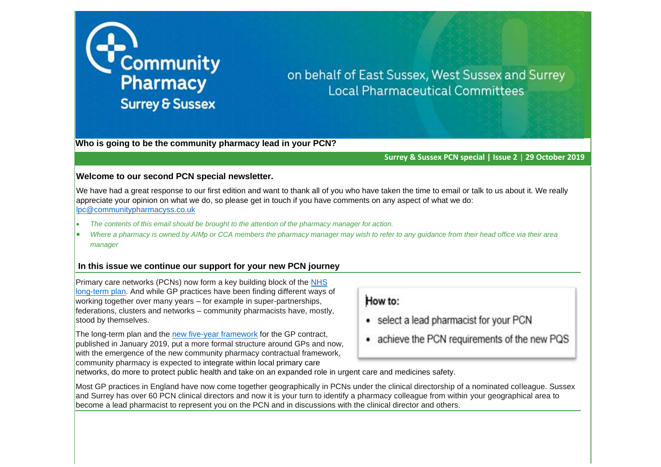

## on behalf of East Sussex, West Sussex and Surrey **Local Pharmaceutical Committees**

**Who is going to be the community pharmacy lead in your PCN?**

**Surrey & Sussex PCN special | Issue 2** | **29 October 2019** 

## **Welcome to our second PCN special newsletter.**

We have had a great response to our first edition and want to thank all of you who have taken the time to email or talk to us about it. We really appreciate your opinion on what we do, so please get in touch if you have comments on any aspect of what we do: [lpc@communitypharmacyss.co.uk](mailto:lpc@communitypharmacyss.co.uk)

- *The contents of this email should be brought to the attention of the pharmacy manager for action.*
- *Where a pharmacy is owned by AIMp or CCA members the pharmacy manager may wish to refer to any guidance from their head office via their area manager*

## **In this issue we continue our support for your new PCN journey**

Primary care networks (PCNs) now form a key building block of the [NHS](https://www.kingsfund.org.uk/topics/nhs-long-term-plan)  [long-term plan.](https://www.kingsfund.org.uk/topics/nhs-long-term-plan) And while GP practices have been finding different ways of working together over many years – for example in super-partnerships, federations, clusters and networks – community pharmacists have, mostly, stood by themselves.

The long-term plan and the [new five-year framework](https://www.kingsfund.org.uk/blog/2019/02/general-practice-contract) for the GP contract, published in January 2019, put a more formal structure around GPs and now, with the emergence of the new community pharmacy contractual framework, community pharmacy is expected to integrate within local primary care

## How to:

- select a lead pharmacist for your PCN
- achieve the PCN requirements of the new PQS

networks, do more to protect public health and take on an expanded role in urgent care and medicines safety.

Most GP practices in England have now come together geographically in PCNs under the clinical directorship of a nominated colleague. Sussex and Surrey has over 60 PCN clinical directors and now it is your turn to identify a pharmacy colleague from within your geographical area to become a lead pharmacist to represent you on the PCN and in discussions with the clinical director and others.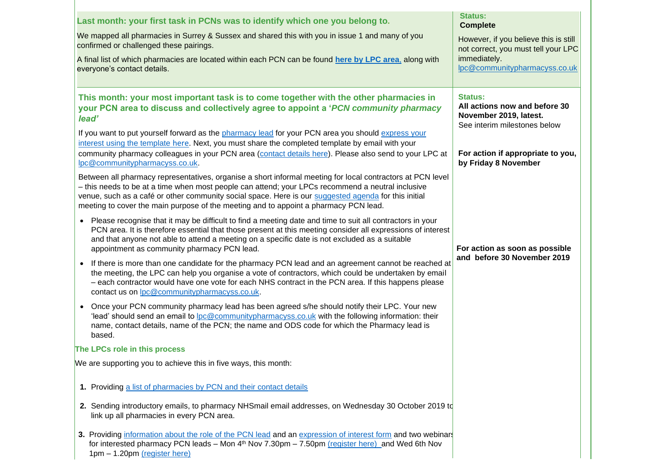| Last month: your first task in PCNs was to identify which one you belong to.                                                                                                                                                                                                                                                                                                                                    | <b>Status:</b><br><b>Complete</b>                                                                  |
|-----------------------------------------------------------------------------------------------------------------------------------------------------------------------------------------------------------------------------------------------------------------------------------------------------------------------------------------------------------------------------------------------------------------|----------------------------------------------------------------------------------------------------|
| We mapped all pharmacies in Surrey & Sussex and shared this with you in issue 1 and many of you<br>confirmed or challenged these pairings.                                                                                                                                                                                                                                                                      | However, if you believe this is still<br>not correct, you must tell your LPC                       |
| A final list of which pharmacies are located within each PCN can be found here by LPC area, along with<br>everyone's contact details.                                                                                                                                                                                                                                                                           | immediately.<br>lpc@communitypharmacyss.co.uk                                                      |
| This month: your most important task is to come together with the other pharmacies in<br>your PCN area to discuss and collectively agree to appoint a 'PCN community pharmacy<br>lead'                                                                                                                                                                                                                          | Status:<br>All actions now and before 30<br>November 2019, latest.<br>See interim milestones below |
| If you want to put yourself forward as the pharmacy lead for your PCN area you should express your<br>interest using the template here. Next, you must share the completed template by email with your<br>community pharmacy colleagues in your PCN area (contact details here). Please also send to your LPC at<br>lpc@communitypharmacyss.co.uk.                                                              | For action if appropriate to you,<br>by Friday 8 November                                          |
| Between all pharmacy representatives, organise a short informal meeting for local contractors at PCN level<br>- this needs to be at a time when most people can attend; your LPCs recommend a neutral inclusive<br>venue, such as a café or other community social space. Here is our suggested agenda for this initial<br>meeting to cover the main purpose of the meeting and to appoint a pharmacy PCN lead. |                                                                                                    |
| • Please recognise that it may be difficult to find a meeting date and time to suit all contractors in your<br>PCN area. It is therefore essential that those present at this meeting consider all expressions of interest<br>and that anyone not able to attend a meeting on a specific date is not excluded as a suitable<br>appointment as community pharmacy PCN lead.                                      | For action as soon as possible                                                                     |
| If there is more than one candidate for the pharmacy PCN lead and an agreement cannot be reached at<br>$\bullet$<br>the meeting, the LPC can help you organise a vote of contractors, which could be undertaken by email<br>- each contractor would have one vote for each NHS contract in the PCN area. If this happens please<br>contact us on lpc@communitypharmacyss.co.uk.                                 | and before 30 November 2019                                                                        |
| Once your PCN community pharmacy lead has been agreed s/he should notify their LPC. Your new<br>$\bullet$<br>'lead' should send an email to lpc@communitypharmacyss.co.uk with the following information: their<br>name, contact details, name of the PCN; the name and ODS code for which the Pharmacy lead is<br>based.                                                                                       |                                                                                                    |
| The LPCs role in this process                                                                                                                                                                                                                                                                                                                                                                                   |                                                                                                    |
| We are supporting you to achieve this in five ways, this month:                                                                                                                                                                                                                                                                                                                                                 |                                                                                                    |
| 1. Providing a list of pharmacies by PCN and their contact details                                                                                                                                                                                                                                                                                                                                              |                                                                                                    |
| 2. Sending introductory emails, to pharmacy NHSmail email addresses, on Wednesday 30 October 2019 to<br>link up all pharmacies in every PCN area.                                                                                                                                                                                                                                                               |                                                                                                    |
| 3. Providing information about the role of the PCN lead and an expression of interest form and two webinars<br>for interested pharmacy PCN leads – Mon $4th$ Nov 7.30pm – 7.50pm (register here) and Wed 6th Nov<br>1pm - 1.20pm (register here)                                                                                                                                                                |                                                                                                    |